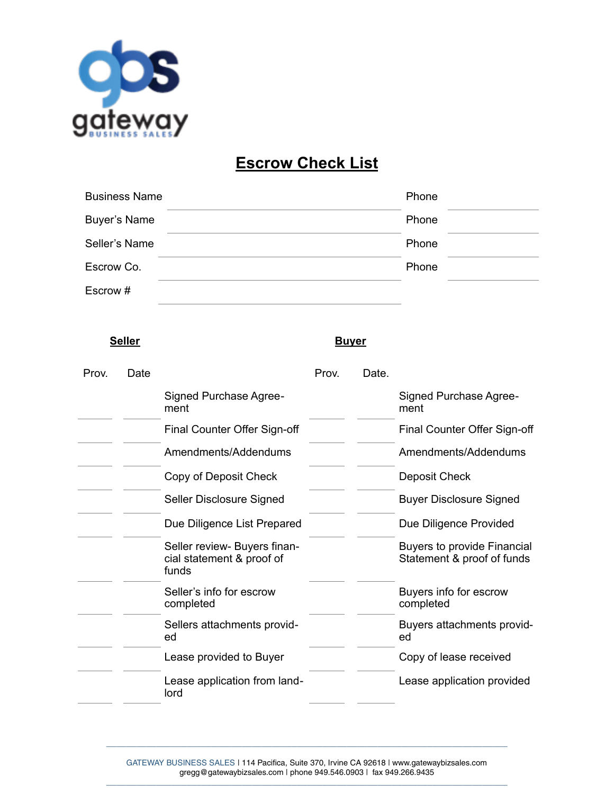

## **Escrow Check List**

| <b>Business Name</b> | Phone |  |
|----------------------|-------|--|
| <b>Buyer's Name</b>  | Phone |  |
| Seller's Name        | Phone |  |
| Escrow Co.           | Phone |  |
| Escrow #             |       |  |

## **Seller Buyer**

| Prov. | Date |                                                                    | Prov. | Date. |                                                                  |
|-------|------|--------------------------------------------------------------------|-------|-------|------------------------------------------------------------------|
|       |      | <b>Signed Purchase Agree-</b><br>ment                              |       |       | <b>Signed Purchase Agree-</b><br>ment                            |
|       |      | Final Counter Offer Sign-off                                       |       |       | Final Counter Offer Sign-off                                     |
|       |      | Amendments/Addendums                                               |       |       | Amendments/Addendums                                             |
|       |      | Copy of Deposit Check                                              |       |       | Deposit Check                                                    |
|       |      | Seller Disclosure Signed                                           |       |       | <b>Buyer Disclosure Signed</b>                                   |
|       |      | Due Diligence List Prepared                                        |       |       | Due Diligence Provided                                           |
|       |      | Seller review- Buyers finan-<br>cial statement & proof of<br>funds |       |       | <b>Buyers to provide Financial</b><br>Statement & proof of funds |
|       |      | Seller's info for escrow<br>completed                              |       |       | Buyers info for escrow<br>completed                              |
|       |      | Sellers attachments provid-<br>ed                                  |       |       | Buyers attachments provid-<br>ed                                 |
|       |      | Lease provided to Buyer                                            |       |       | Copy of lease received                                           |
|       |      | Lease application from land-<br>lord                               |       |       | Lease application provided                                       |
|       |      |                                                                    |       |       |                                                                  |

\_\_\_\_\_\_\_\_\_\_\_\_\_\_\_\_\_\_\_\_\_\_\_\_\_\_\_\_\_\_\_\_\_\_\_\_\_\_\_\_\_\_\_\_\_\_\_\_\_\_\_\_\_\_\_\_\_\_\_\_\_\_\_\_\_\_\_\_\_\_\_\_\_\_\_\_\_\_\_\_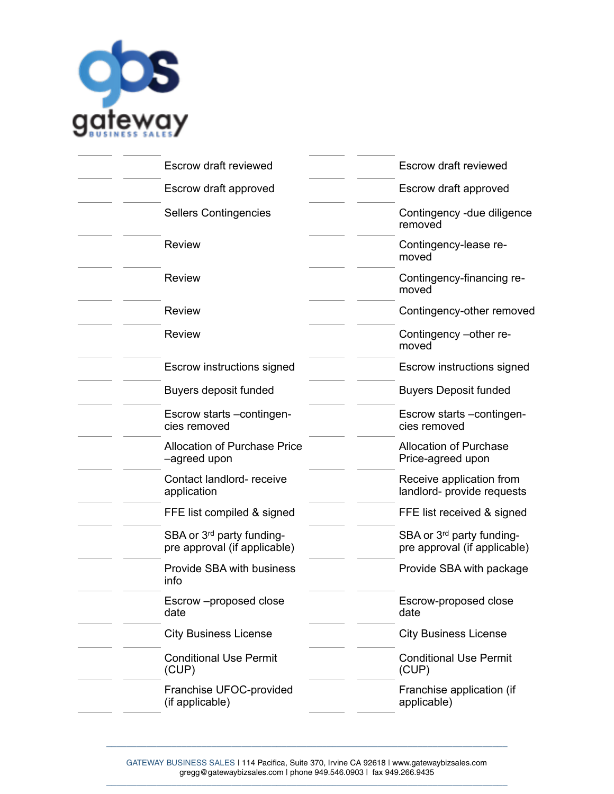

| <b>Escrow draft reviewed</b>                                          | Escrow draft reviewed                                                 |
|-----------------------------------------------------------------------|-----------------------------------------------------------------------|
| Escrow draft approved                                                 | Escrow draft approved                                                 |
| <b>Sellers Contingencies</b>                                          | Contingency - due diligence<br>removed                                |
| <b>Review</b>                                                         | Contingency-lease re-<br>moved                                        |
| <b>Review</b>                                                         | Contingency-financing re-<br>moved                                    |
| <b>Review</b>                                                         | Contingency-other removed                                             |
| <b>Review</b>                                                         | Contingency - other re-<br>moved                                      |
| Escrow instructions signed                                            | Escrow instructions signed                                            |
| <b>Buyers deposit funded</b>                                          | <b>Buyers Deposit funded</b>                                          |
| Escrow starts -contingen-<br>cies removed                             | Escrow starts - contingen-<br>cies removed                            |
| <b>Allocation of Purchase Price</b><br>-agreed upon                   | <b>Allocation of Purchase</b><br>Price-agreed upon                    |
| Contact landlord- receive<br>application                              | Receive application from<br>landlord- provide requests                |
| FFE list compiled & signed                                            | FFE list received & signed                                            |
| SBA or 3 <sup>rd</sup> party funding-<br>pre approval (if applicable) | SBA or 3 <sup>rd</sup> party funding-<br>pre approval (if applicable) |
| Provide SBA with business<br>info                                     | Provide SBA with package                                              |
| Escrow -proposed close<br>date                                        | Escrow-proposed close<br>date                                         |
| <b>City Business License</b>                                          | <b>City Business License</b>                                          |
| <b>Conditional Use Permit</b><br>(CUP)                                | <b>Conditional Use Permit</b><br>(CUP)                                |
|                                                                       | Franchise application (if                                             |
|                                                                       | Franchise UFOC-provided                                               |

\_\_\_\_\_\_\_\_\_\_\_\_\_\_\_\_\_\_\_\_\_\_\_\_\_\_\_\_\_\_\_\_\_\_\_\_\_\_\_\_\_\_\_\_\_\_\_\_\_\_\_\_\_\_\_\_\_\_\_\_\_\_\_\_\_\_\_\_\_\_\_\_\_\_\_\_\_\_\_\_